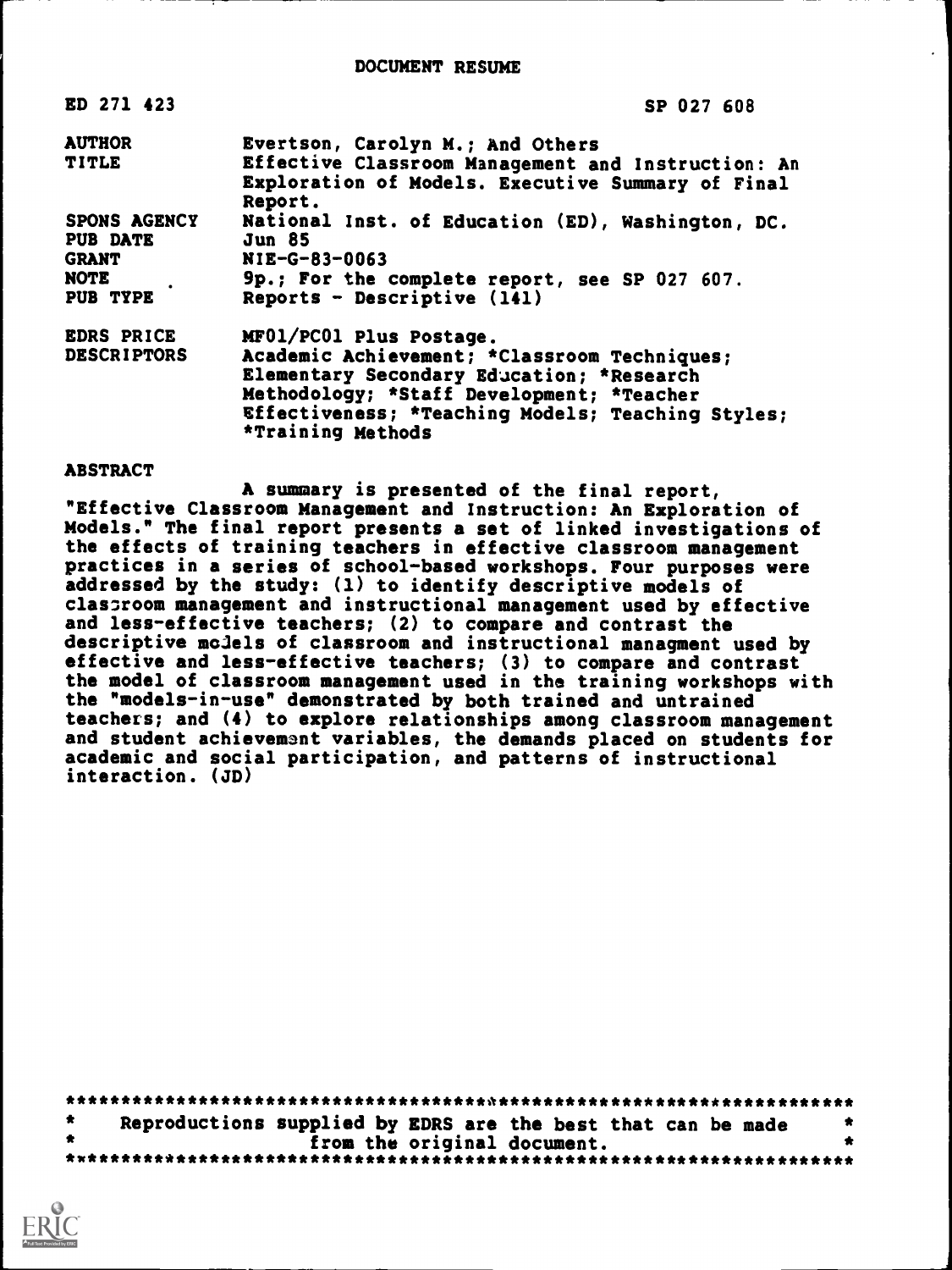| ED 271 423                      | SP 027 608                                                                                                                                                                                                       |
|---------------------------------|------------------------------------------------------------------------------------------------------------------------------------------------------------------------------------------------------------------|
| <b>AUTHOR</b>                   | Evertson, Carolyn M.; And Others                                                                                                                                                                                 |
| <b>TITLE</b>                    | Effective Classroom Management and Instruction: An<br>Exploration of Models. Executive Summary of Final<br>Report.                                                                                               |
| SPONS AGENCY<br><b>PUB DATE</b> | National Inst. of Education (ED), Washington, DC.<br><b>Jun 85</b>                                                                                                                                               |
| <b>GRANT</b>                    | NIE-G-83-0063                                                                                                                                                                                                    |
| <b>NOTE</b><br>PUB TYPE         | 9p.; For the complete report, see SP 027 607.<br>Reports - Descriptive $(141)$                                                                                                                                   |
| <b>EDRS PRICE</b>               | MF01/PC01 Plus Postage.                                                                                                                                                                                          |
| <b>DESCRIPTORS</b>              | Academic Achievement; *Classroom Techniques;<br>Elementary Secondary Education; *Research<br>Methodology; *Staff Development; *Teacher<br>Effectiveness; *Teaching Models; Teaching Styles;<br>*Training Methods |

#### ABSTRACT

A summary is presented of the final report, "Effective Classroom Management and Instruction: An Exploration of Models." The final report presents a set of linked investigations of the effects of training teachers in effective classroom management practices in a series of school-based workshops. Four purposes were addressed by the study: (1) to identify descriptive models of classroom management and instructional management used by effective and less-effective teachers; (2) to compare and contrast the descriptive models of classroom and instructional managment used by effective and less-effective teachers; (3) to compare and contrast the model of classroom management used in the training workshops with the "models-in-use" demonstrated by both trained and untrained teachers; and (4) to explore relationships among classroom management and student achievement variables, the demands placed on students for academic and social participation, and patterns of instructional interaction. (JD)

|  | Reproductions supplied by EDRS are the best that can be made |                             |  |  |  |  |  |
|--|--------------------------------------------------------------|-----------------------------|--|--|--|--|--|
|  |                                                              | from the original document. |  |  |  |  |  |
|  |                                                              |                             |  |  |  |  |  |

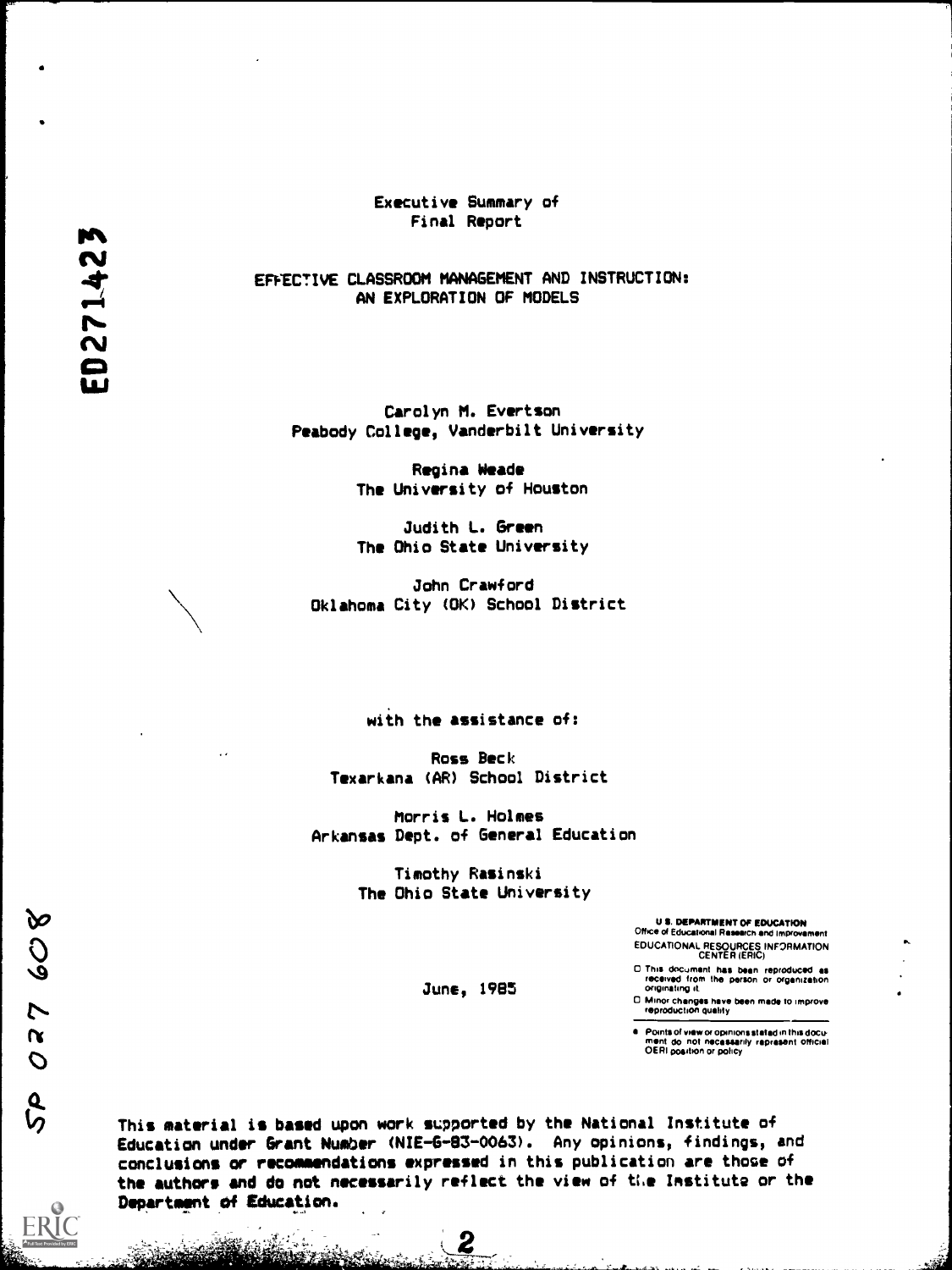Executive Summary of Final Report

EFFECTIVE CLASSROOM MANAGEMENT AND INSTRUCTION: AN EXPLORATION OF MODELS

Carolyn M. Evertson Peabody College, Vanderbilt University

> Regina Weade The University of Houston

> Judith L. Green The Ohio State University

John Crawford Oklahoma City (OK) School District

with the assistance of:

Ross Beck Texarkana (AR) School District

Morris L. Holmes Arkansas Dept. of General Education

> Timothy Rasinski The Ohio State University

> > June, 1985

US. DEPARTMENT OF EDUCATION Office of Educational Research and improvement

EDUCATIONAL RESOURCES INFORMATION CENTER (ERIC)

0 This document Ms been reproduced as received from the parson or organization originating it

0 Minor changes have been made to Improve reproduction qualify

Points of view or opinions stated in this docu mint do not necessarily represent official OERI position or policy

This material is based upon work supported by the Nati onal Institute of Education under Grant Number (NIE -6 -63 -0063). Any opi nions, findings, and conclusions or recommendations expressed in this publi cation are those of the authors and do not necessarily reflect the view of the Institute or the Department of Education.

2

-14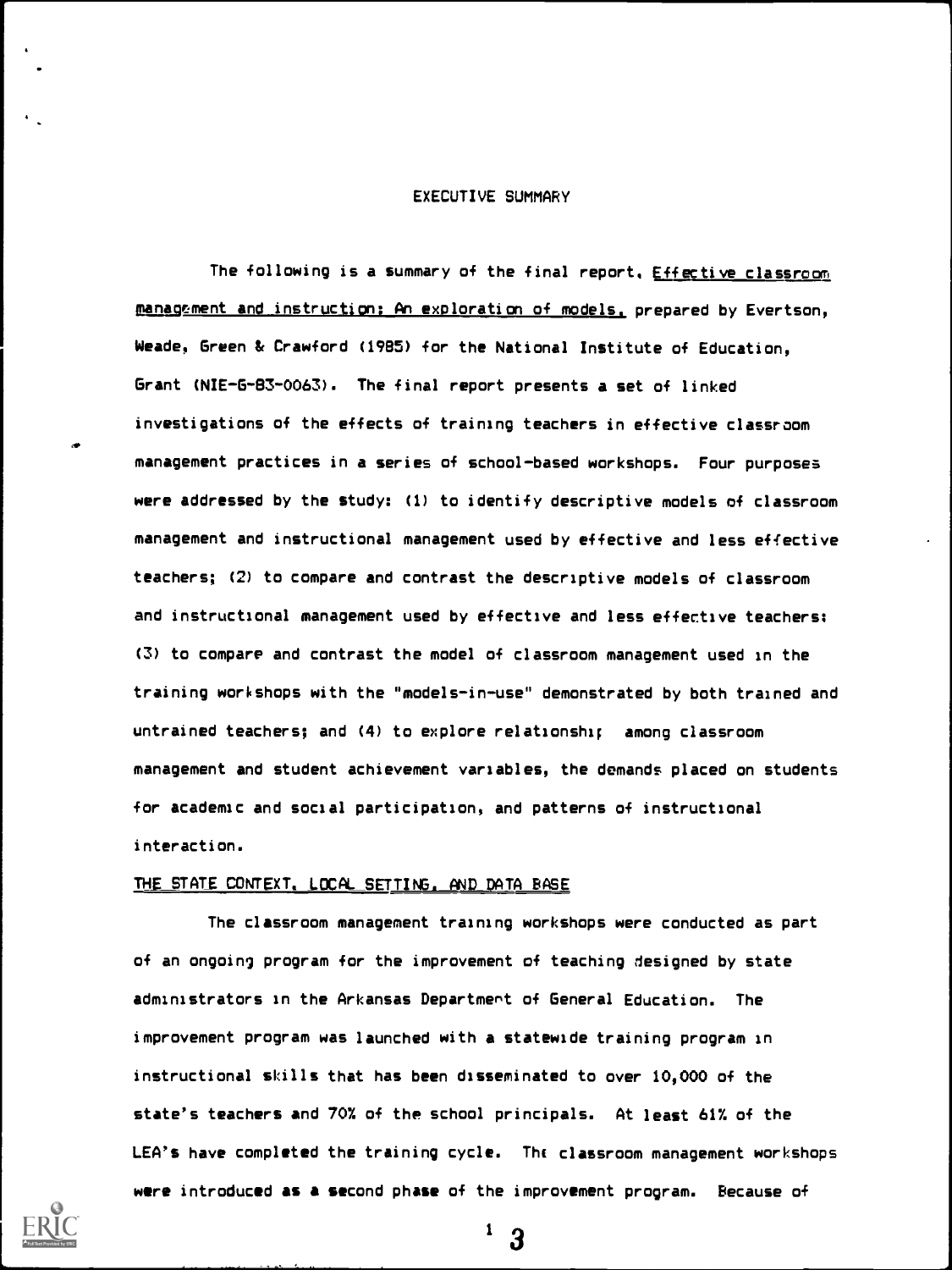## EXECUTIVE SUMMARY

The following is a summary of the final report. Effective classroom management and instruction: An exploration of models, prepared by Evertson, Weade, Green & Crawford (1985) for the National Institute of Education, Grant (NIE-G-83-0063). The final report presents a set of linked investigations of the effects of training teachers in effective classroom management practices in a series of school-based workshops. Four purposes were addressed by the study: (1) to identify descriptive models of classroom management and instructional management used by effective and less effective teachers; (2) to compare and contrast the descriptive models of classroom and instructional management used by effective and less effective teachers: (3) to compare and contrast the model of classroom management used in the training workshops with the "models-in-use" demonstrated by both trained and untrained teachers; and (4) to explore relationshi; among classroom management and student achievement variables, the demands placed on students for academic and social participation, and patterns of instructional interaction.

#### THE STATE CONTEXT, LOCAL SETTING, AND DATA BASE

The classroom management training workshops were conducted as part of an ongoing program for the improvement of teaching designed by state administrators in the Arkansas Department of General Education. The improvement program was launched with a statewide training program in instructional skills that has been disseminated to over 10,000 of the state's teachers and 70% of the school principals. At least 61% of the LEA's have completed the training cycle. The classroom management workshops were introduced as a second phase of the improvement program. Because of



 $1\quad 3$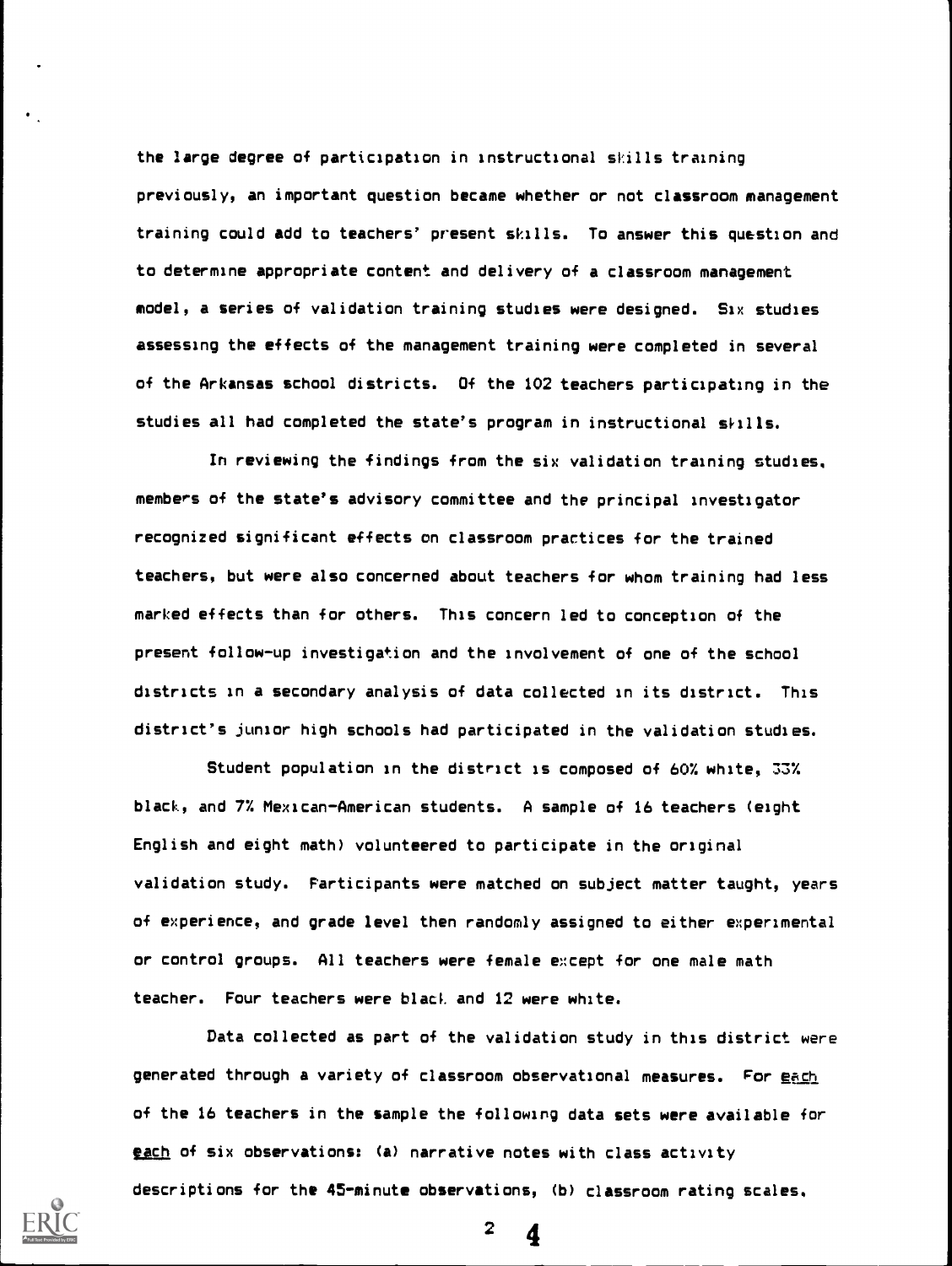the large degree of participation in instructional skills training previously, an important question became whether or not classroom management training could add to teachers' present skills. To answer this question and to determine appropriate content and delivery of a classroom management model, a series of validation training studies were designed. Six studies assessing the effects of the management training were completed in several of the Arkansas school districts. Of the 102 teachers participating in the studies all had completed the state's program in instructional shills.

In reviewing the findings from the six validation training studies, members of the state's advisory committee and the principal investigator recognized significant effects on classroom practices for the trained teachers, but were also concerned about teachers for whom training had less marked effects than for others. This concern led to conception of the present follow-up investigation and the involvement of one of the school districts in a secondary analysis of data collected in its district. This district's junior high schools had participated in the validation studies.

Student population in the district is composed of 60% white, 33% black, and 7% Mexican-American students. A sample of 16 teachers (eight English and eight math) volunteered to participate in the original validation study. Participants were matched on subject matter taught, years of experience, and grade level then randomly assigned to either experimental or control groups. All teachers were female except for one male math teacher. Four teachers were black and 12 were white.

Data collected as part of the validation study in this district were generated through a variety of classroom observational measures. For each of the 16 teachers in the sample the following data sets were available for each of six observations: (a) narrative notes with class activity descriptions for the 45-minute observations, (b) classroom rating scales,



 $2 \frac{4}{3}$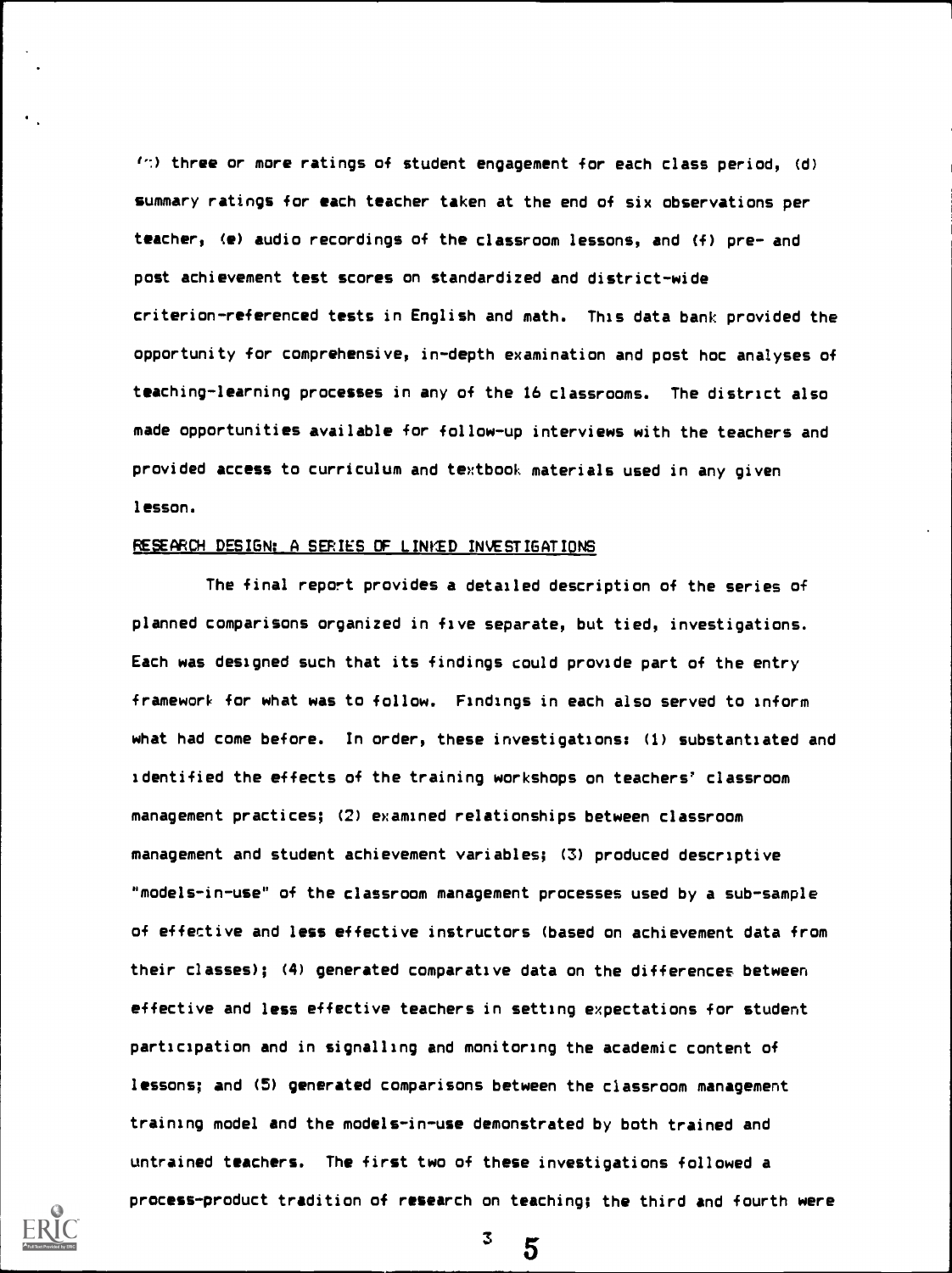$1.7$ ) three or more ratings of student engagement for each class period,  $(d)$ summary ratings for each teacher taken at the end of six observations per teacher, (e) audio recordings of the classroom lessons, and (f) pre- and post achievement test scores on standardized and district-wide criterion-referenced tests in English and math. This data bank provided the opportunity for comprehensive, in-depth examination and post hoc analyses of teaching-learning processes in any of the 16 classrooms. The district also made opportunities available for follow-up interviews with the teachers and provided access to curriculum and textbook materials used in any given lesson.

### RESEARCH DESIGN: A SERIES OF LINKED INVESTIGATIONS

The final report provides a detailed description of the series of planned comparisons organized in five separate, but tied, investigations. Each was designed such that its findings could provide part of the entry framework for what was to follow. Findings in each also served to inform what had come before. In order, these investigations: (1) substantiated and identified the effects of the training workshops on teachers' classroom management practices; (2) examined relationships between classroom management and student achievement variables; (3) produced descriptive "models-in-use" of the classroom management processes used by a sub-sample of effective and less effective instructors (based on achievement data from their classes); (4) generated comparative data on the differences between effective and less effective teachers in setting expectations for student participation and in signalling and monitoring the academic content of lessons; and (5) generated comparisons between the classroom management training model and the models-in-use demonstrated by both trained and untrained teachers. The first two of these investigations followed a process-product tradition of research on teaching; the third and fourth were



3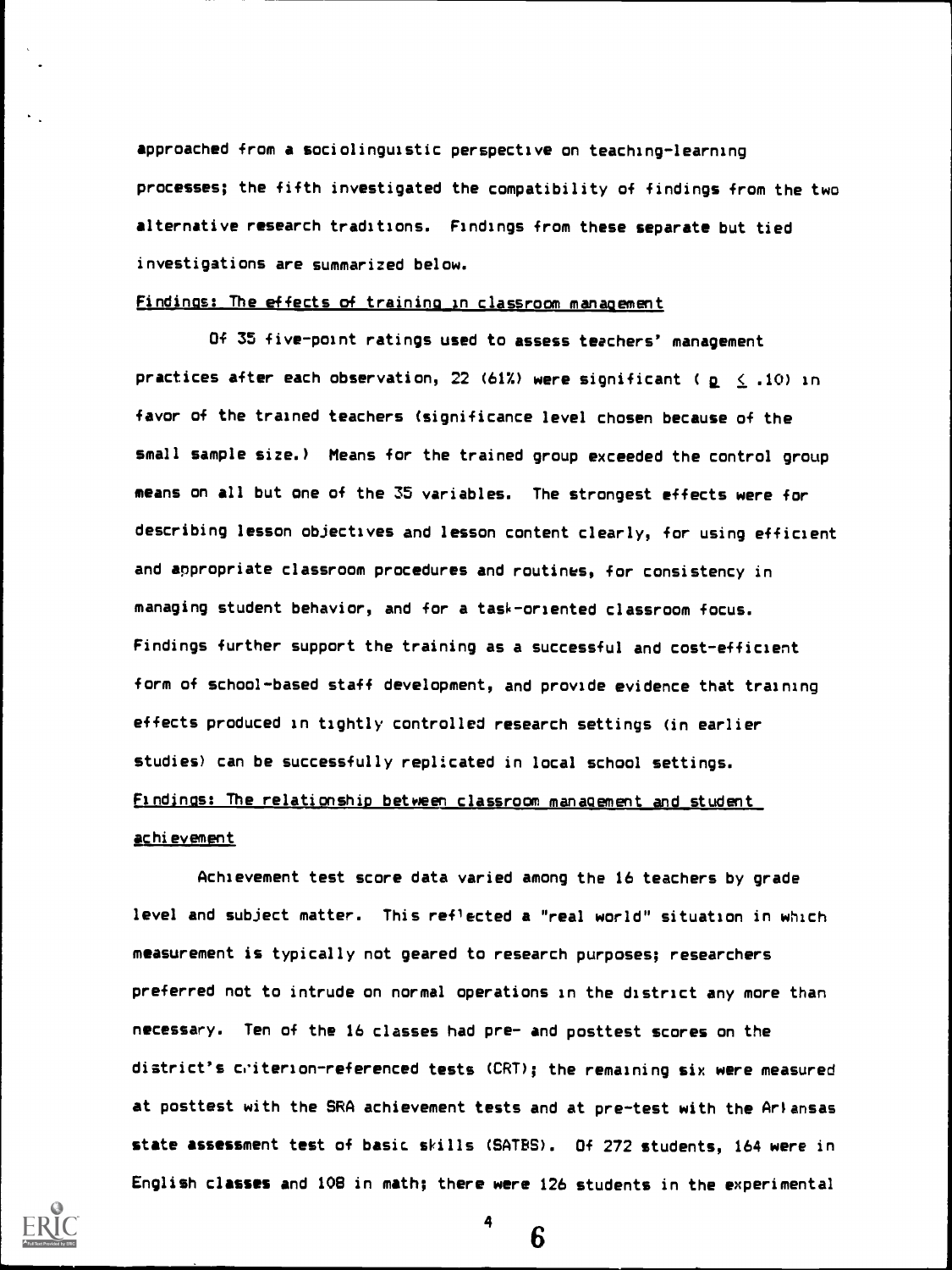approached from a sociolinguistic perspective on teaching-learning processes; the fifth investigated the compatibility of findings from the two alternative research traditions. Findings from these separate but tied investigations are summarized below.

# Findings: The effects of training in classroom management

Of 35 five-point ratings used to assess teachers' management practices after each observation, 22 (61%) were significant ( $p \le .10$ ) in favor of the trained teachers (significance level chosen because of the small sample size.) Means for the trained group exceeded the control group means on all but one of the 35 variables. The strongest effects were for describing lesson objectives and lesson content clearly, for using efficient and appropriate classroom procedures and routines, for consistency in managing student behavior, and for a task-oriented classroom focus. Findings further support the training as a successful and cost-efficient form of school-based staff development, and provide evidence that training effects produced in tightly controlled research settings (in earlier studies) can be successfully replicated in local school settings. Findings: The relationship between classroom management and student <u>achievement</u>

Achievement test score data varied among the 16 teachers by grade level and subject matter. This reflected a "real world" situation in which measurement is typically not geared to research purposes; researchers preferred not to intrude on normal operations in the district any more than necessary. Ten of the 16 classes had pre- and posttest scores on the district's criterion-referenced tests (CRT); the remaining six were measured at posttest with the SRA achievement tests and at pre-test with the Arlansas state assessment test of basic skills (SATES). Of 272 students, 164 were in English classes and 108 in math; there were 126 students in the experimental



4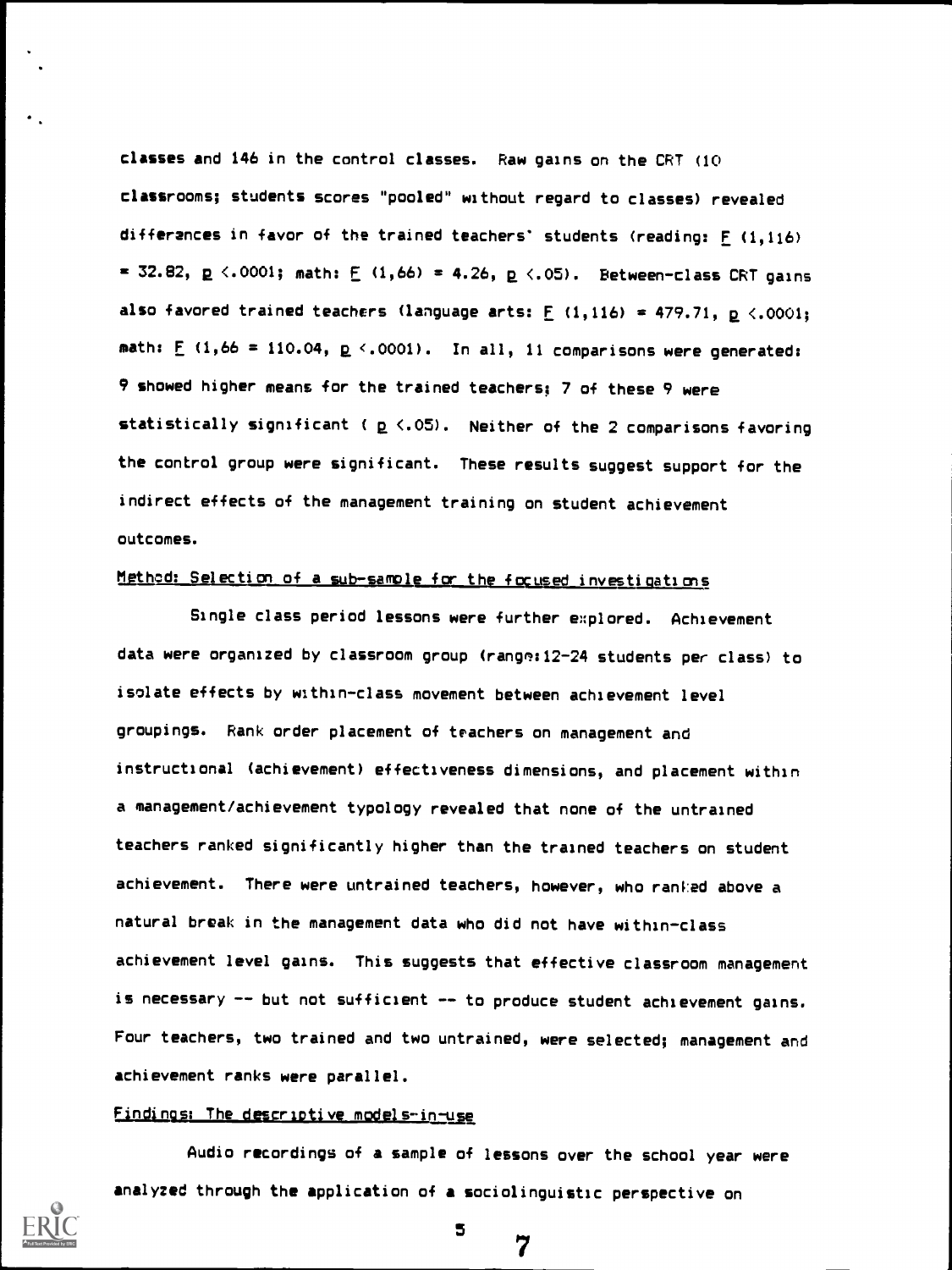classes and 146 in the control classes. Raw gains on the CRT (10 classrooms; students scores "pooled" without regard to classes) revealed differences in favor of the trained teachers' students (reading: F (1,116) = 32.82,  $p \le 0001$ ; math:  $E(1,66) = 4.26$ ,  $p \le 0.05$ ). Between-class CRT gains also favored trained teachers (language arts:  $F(1,116) = 479.71$ ,  $p \le 0.0001$ ; math:  $E$  (1,66 = 110.04,  $E \leq 0.001$ ). In all, 11 comparisons were generated: 9 showed higher means for the trained teachers; 7 of these 9 were statistically significant ( $p \le .05$ ). Neither of the 2 comparisons favoring the control group were significant. These results suggest support for the indirect effects of the management training on student achievement outcomes.

# Method: Selection of a sub-sample for the focused investigations

Single class period lessons were further explored. Achievement data were organized by classroom group (range: 12-24 students per class) to isolate effects by within-class movement between achievement level groupings. Rank order placement of teachers on management and instructional (achievement) effectiveness dimensions, and placement within a management/achievement typology revealed that none of the untrained teachers ranked significantly higher than the trained teachers on student achievement. There were untrained teachers, however, who ranked above a natural break in the management data who did not have within-class achievement level gains. This suggests that effective classroom management is necessary -- but not sufficient -- to produce student achievement gains. Four teachers, two trained and two untrained, were selected; management and achievement ranks were parallel.

#### Findings: The descriptive models-in-use

Audio recordings of a sample of lessons over the school year were analyzed through the application of a sociolinguistic perspective on



5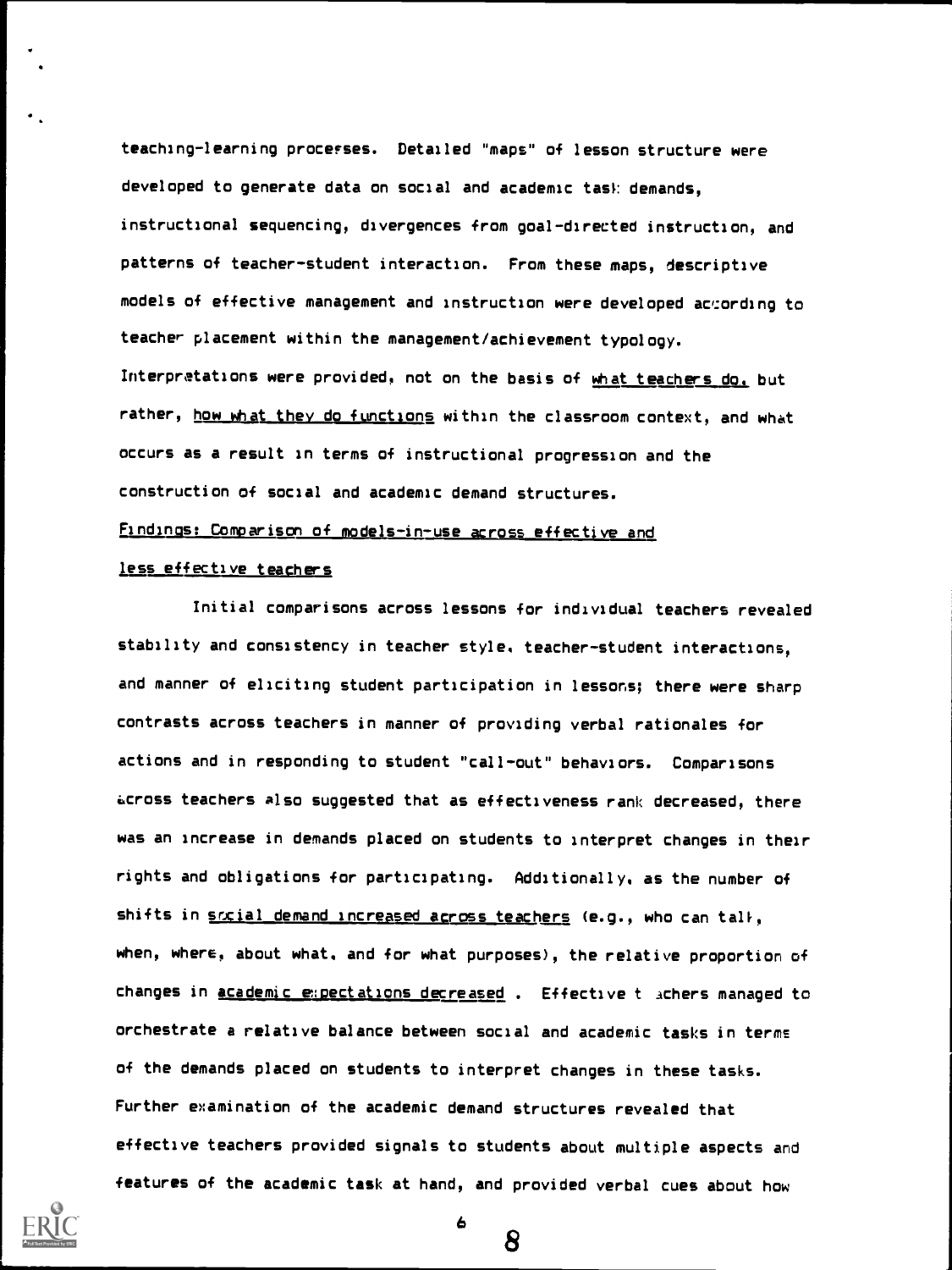teaching-learning processes. Detailed "maps" of lesson structure were developed to generate data on social and academic task demands, instructional sequencing, divergences from goal-directed instruction, and patterns of teacher-student interaction. From these maps, descriptive models of effective management and instruction were developed according to teacher placement within the management/achievement typology. Interpretations were provided, not on the basis of what teachers do. but rather, how what they do functions within the classroom context, and what occurs as a result in terms of instructional progression and the construction of social and academic demand structures.

## Findings: Comparison of models-in-use across effective and

## less effective teachers

Initial comparisons across lessons for individual teachers revealed stability and consistency in teacher style. teacher-student interactions, and manner of eliciting student participation in lessons; there were sharp contrasts across teachers in manner of providing verbal rationales for actions and in responding to student "call-out" behaviors. Comparisons across teachers also suggested that as effectiveness rank decreased, there was an increase in demands placed on students to interpret changes in their rights and obligations for participating. Additionally, as the number of shifts in social demand increased across teachers (e.g., who can tall, when, where, about what, and for what purposes), the relative proportion of changes in academic expectations decreased . Effective t achers managed to orchestrate a relative balance between social and academic tasks in terms of the demands placed on students to interpret changes in these tasks. Further examination of the academic demand structures revealed that effective teachers provided signals to students about multiple aspects and features of the academic task at hand, and provided verbal cues about how



8